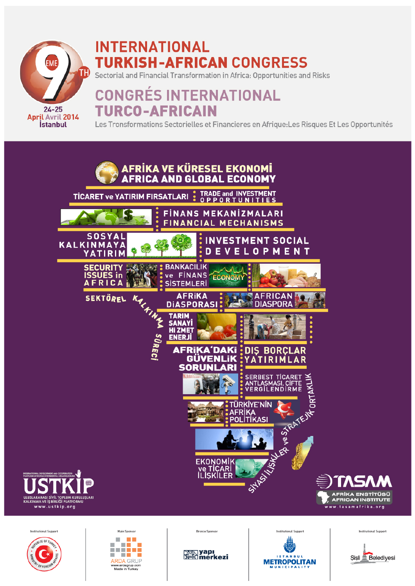

# **INTERNATIONAL TURKISH-AFRICAN CONGRESS**

Sectorial and Financial Transformation in Africa: Opportunities and Risks

# **CONGRÉS INTERNATIONAL TURCO-AFRICAIN**

Les Tronsformations Sectorielles et Financieres en Afrique: Les Risques Et Les Opportunités









**Bronze Sponsor** 





**Institutional Support** 

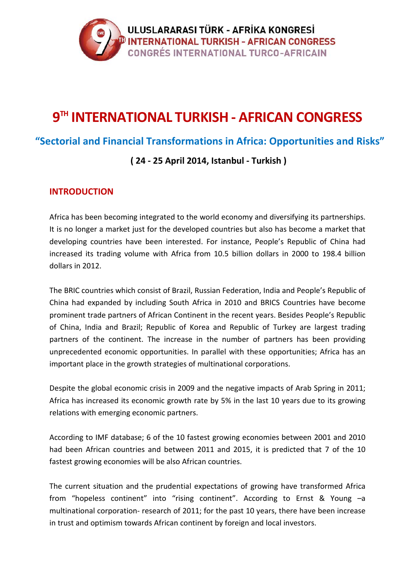

## **9TH INTERNATIONAL TURKISH - AFRICAN CONGRESS**

## **"Sectorial and Financial Transformations in Africa: Opportunities and Risks"**

## **( 24 - 25 April 2014, Istanbul - Turkish )**

### **INTRODUCTION**

Africa has been becoming integrated to the world economy and diversifying its partnerships. It is no longer a market just for the developed countries but also has become a market that developing countries have been interested. For instance, People's Republic of China had increased its trading volume with Africa from 10.5 billion dollars in 2000 to 198.4 billion dollars in 2012.

The BRIC countries which consist of Brazil, Russian Federation, India and People's Republic of China had expanded by including South Africa in 2010 and BRICS Countries have become prominent trade partners of African Continent in the recent years. Besides People's Republic of China, India and Brazil; Republic of Korea and Republic of Turkey are largest trading partners of the continent. The increase in the number of partners has been providing unprecedented economic opportunities. In parallel with these opportunities; Africa has an important place in the growth strategies of multinational corporations.

Despite the global economic crisis in 2009 and the negative impacts of Arab Spring in 2011; Africa has increased its economic growth rate by 5% in the last 10 years due to its growing relations with emerging economic partners.

According to IMF database; 6 of the 10 fastest growing economies between 2001 and 2010 had been African countries and between 2011 and 2015, it is predicted that 7 of the 10 fastest growing economies will be also African countries.

The current situation and the prudential expectations of growing have transformed Africa from "hopeless continent" into "rising continent". According to Ernst & Young –a multinational corporation- research of 2011; for the past 10 years, there have been increase in trust and optimism towards African continent by foreign and local investors.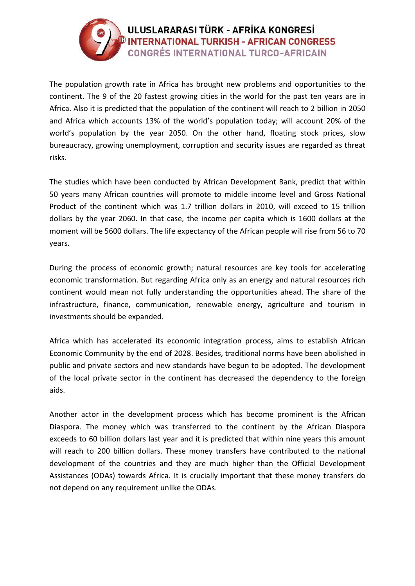

The population growth rate in Africa has brought new problems and opportunities to the continent. The 9 of the 20 fastest growing cities in the world for the past ten years are in Africa. Also it is predicted that the population of the continent will reach to 2 billion in 2050 and Africa which accounts 13% of the world's population today; will account 20% of the world's population by the year 2050. On the other hand, floating stock prices, slow bureaucracy, growing unemployment, corruption and security issues are regarded as threat risks.

The studies which have been conducted by African Development Bank, predict that within 50 years many African countries will promote to middle income level and Gross National Product of the continent which was 1.7 trillion dollars in 2010, will exceed to 15 trillion dollars by the year 2060. In that case, the income per capita which is 1600 dollars at the moment will be 5600 dollars. The life expectancy of the African people will rise from 56 to 70 years.

During the process of economic growth; natural resources are key tools for accelerating economic transformation. But regarding Africa only as an energy and natural resources rich continent would mean not fully understanding the opportunities ahead. The share of the infrastructure, finance, communication, renewable energy, agriculture and tourism in investments should be expanded.

Africa which has accelerated its economic integration process, aims to establish African Economic Community by the end of 2028. Besides, traditional norms have been abolished in public and private sectors and new standards have begun to be adopted. The development of the local private sector in the continent has decreased the dependency to the foreign aids.

Another actor in the development process which has become prominent is the African Diaspora. The money which was transferred to the continent by the African Diaspora exceeds to 60 billion dollars last year and it is predicted that within nine years this amount will reach to 200 billion dollars. These money transfers have contributed to the national development of the countries and they are much higher than the Official Development Assistances (ODAs) towards Africa. It is crucially important that these money transfers do not depend on any requirement unlike the ODAs.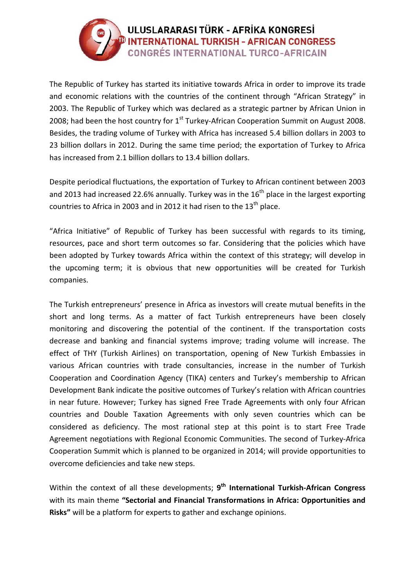

The Republic of Turkey has started its initiative towards Africa in order to improve its trade and economic relations with the countries of the continent through "African Strategy" in 2003. The Republic of Turkey which was declared as a strategic partner by African Union in 2008; had been the host country for  $1<sup>st</sup>$  Turkey-African Cooperation Summit on August 2008. Besides, the trading volume of Turkey with Africa has increased 5.4 billion dollars in 2003 to 23 billion dollars in 2012. During the same time period; the exportation of Turkey to Africa has increased from 2.1 billion dollars to 13.4 billion dollars.

Despite periodical fluctuations, the exportation of Turkey to African continent between 2003 and 2013 had increased 22.6% annually. Turkey was in the  $16<sup>th</sup>$  place in the largest exporting countries to Africa in 2003 and in 2012 it had risen to the  $13<sup>th</sup>$  place.

"Africa Initiative" of Republic of Turkey has been successful with regards to its timing, resources, pace and short term outcomes so far. Considering that the policies which have been adopted by Turkey towards Africa within the context of this strategy; will develop in the upcoming term; it is obvious that new opportunities will be created for Turkish companies.

The Turkish entrepreneurs' presence in Africa as investors will create mutual benefits in the short and long terms. As a matter of fact Turkish entrepreneurs have been closely monitoring and discovering the potential of the continent. If the transportation costs decrease and banking and financial systems improve; trading volume will increase. The effect of THY (Turkish Airlines) on transportation, opening of New Turkish Embassies in various African countries with trade consultancies, increase in the number of Turkish Cooperation and Coordination Agency (TIKA) centers and Turkey's membership to African Development Bank indicate the positive outcomes of Turkey's relation with African countries in near future. However; Turkey has signed Free Trade Agreements with only four African countries and Double Taxation Agreements with only seven countries which can be considered as deficiency. The most rational step at this point is to start Free Trade Agreement negotiations with Regional Economic Communities. The second of Turkey-Africa Cooperation Summit which is planned to be organized in 2014; will provide opportunities to overcome deficiencies and take new steps.

Within the context of all these developments; **9th International Turkish-African Congress** with its main theme **"Sectorial and Financial Transformations in Africa: Opportunities and Risks"** will be a platform for experts to gather and exchange opinions.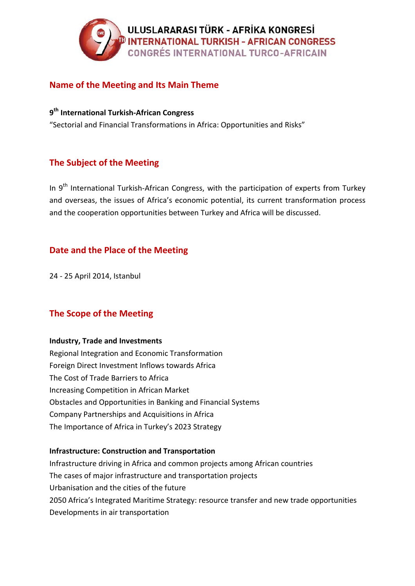

## **Name of the Meeting and Its Main Theme**

**9th International Turkish-African Congress**

"Sectorial and Financial Transformations in Africa: Opportunities and Risks"

## **The Subject of the Meeting**

In 9<sup>th</sup> International Turkish-African Congress, with the participation of experts from Turkey and overseas, the issues of Africa's economic potential, its current transformation process and the cooperation opportunities between Turkey and Africa will be discussed.

## **Date and the Place of the Meeting**

24 - 25 April 2014, Istanbul

## **The Scope of the Meeting**

#### **Industry, Trade and Investments**

Regional Integration and Economic Transformation Foreign Direct Investment Inflows towards Africa The Cost of Trade Barriers to Africa Increasing Competition in African Market Obstacles and Opportunities in Banking and Financial Systems Company Partnerships and Acquisitions in Africa The Importance of Africa in Turkey's 2023 Strategy

#### **Infrastructure: Construction and Transportation**

Infrastructure driving in Africa and common projects among African countries The cases of major infrastructure and transportation projects Urbanisation and the cities of the future 2050 Africa's Integrated Maritime Strategy: resource transfer and new trade opportunities Developments in air transportation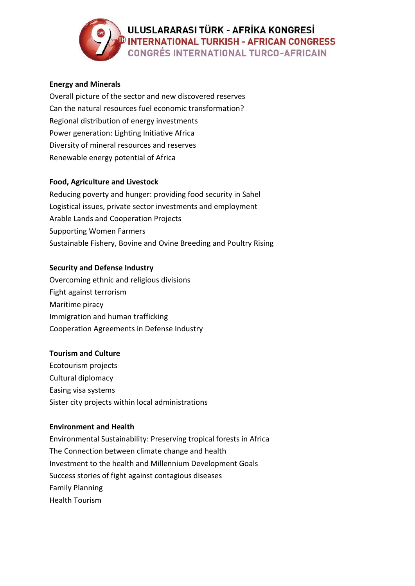## ULUSLARARASI TÜRK - AFRİKA KONGRESİ **DINTERNATIONAL TURKISH - AFRICAN CONGRESS CONGRÉS INTERNATIONAL TURCO-AFRICAIN**

#### **Energy and Minerals**

Overall picture of the sector and new discovered reserves Can the natural resources fuel economic transformation? Regional distribution of energy investments Power generation: Lighting Initiative Africa Diversity of mineral resources and reserves Renewable energy potential of Africa

#### **Food, Agriculture and Livestock**

Reducing poverty and hunger: providing food security in Sahel Logistical issues, private sector investments and employment Arable Lands and Cooperation Projects Supporting Women Farmers Sustainable Fishery, Bovine and Ovine Breeding and Poultry Rising

#### **Security and Defense Industry**

Overcoming ethnic and religious divisions Fight against terrorism Maritime piracy Immigration and human trafficking Cooperation Agreements in Defense Industry

#### **Tourism and Culture**

Ecotourism projects Cultural diplomacy Easing visa systems Sister city projects within local administrations

#### **Environment and Health**

Environmental Sustainability: Preserving tropical forests in Africa The Connection between climate change and health Investment to the health and Millennium Development Goals Success stories of fight against contagious diseases Family Planning Health Tourism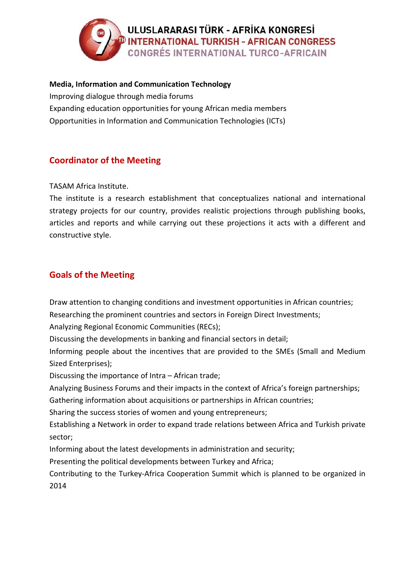

#### **Media, Information and Communication Technology**

Improving dialogue through media forums Expanding education opportunities for young African media members Opportunities in Information and Communication Technologies (ICTs)

## **Coordinator of the Meeting**

TASAM Africa Institute.

The institute is a research establishment that conceptualizes national and international strategy projects for our country, provides realistic projections through publishing books, articles and reports and while carrying out these projections it acts with a different and constructive style.

## **Goals of the Meeting**

Draw attention to changing conditions and investment opportunities in African countries;

Researching the prominent countries and sectors in Foreign Direct Investments;

Analyzing Regional Economic Communities (RECs);

Discussing the developments in banking and financial sectors in detail;

Informing people about the incentives that are provided to the SMEs (Small and Medium Sized Enterprises);

Discussing the importance of Intra – African trade;

Analyzing Business Forums and their impacts in the context of Africa's foreign partnerships;

Gathering information about acquisitions or partnerships in African countries;

Sharing the success stories of women and young entrepreneurs;

Establishing a Network in order to expand trade relations between Africa and Turkish private sector;

Informing about the latest developments in administration and security;

Presenting the political developments between Turkey and Africa;

Contributing to the Turkey-Africa Cooperation Summit which is planned to be organized in 2014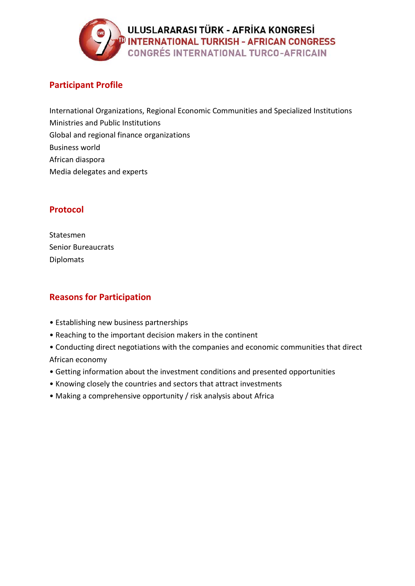

## **Participant Profile**

International Organizations, Regional Economic Communities and Specialized Institutions Ministries and Public Institutions Global and regional finance organizations Business world African diaspora Media delegates and experts

## **Protocol**

Statesmen Senior Bureaucrats Diplomats

## **Reasons for Participation**

- Establishing new business partnerships
- Reaching to the important decision makers in the continent
- Conducting direct negotiations with the companies and economic communities that direct African economy
- Getting information about the investment conditions and presented opportunities
- Knowing closely the countries and sectors that attract investments
- Making a comprehensive opportunity / risk analysis about Africa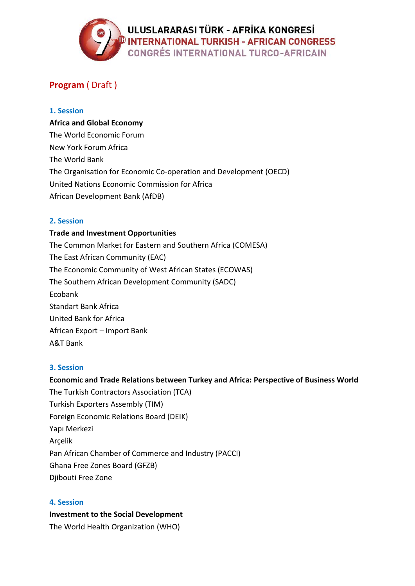

## **Program** ( Draft )

#### **1. Session**

#### **Africa and Global Economy**

The World Economic Forum New York Forum Africa The World Bank The Organisation for Economic Co-operation and Development (OECD) United Nations Economic Commission for Africa African Development Bank (AfDB)

#### **2. Session**

## **Trade and Investment Opportunities** The Common Market for Eastern and Southern Africa (COMESA) The East African Community (EAC) The Economic Community of West African States (ECOWAS) The Southern African Development Community (SADC) Ecobank Standart Bank Africa United Bank for Africa African Export – Import Bank A&T Bank

#### **3. Session**

#### **Economic and Trade Relations between Turkey and Africa: Perspective of Business World**

The Turkish Contractors Association (TCA) Turkish Exporters Assembly (TIM) Foreign Economic Relations Board (DEIK) Yapı Merkezi Arçelik Pan African Chamber of Commerce and Industry (PACCI) Ghana Free Zones Board (GFZB) Djibouti Free Zone

#### **4. Session**

**Investment to the Social Development**  The World Health Organization (WHO)